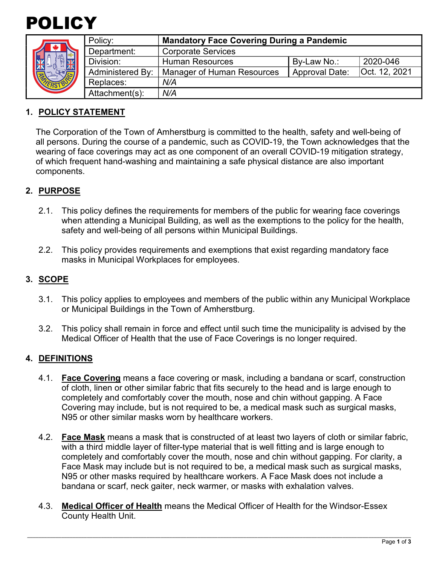



| Policy:                 | <b>Mandatory Face Covering During a Pandemic</b> |                       |               |
|-------------------------|--------------------------------------------------|-----------------------|---------------|
| Department:             | <b>Corporate Services</b>                        |                       |               |
| Division:               | <b>Human Resources</b>                           | By-Law No.:           | 2020-046      |
| <b>Administered By:</b> | <b>Manager of Human Resources</b>                | <b>Approval Date:</b> | Oct. 12, 2021 |
| Replaces:               | N/A                                              |                       |               |
| Attachment(s):          | N/A                                              |                       |               |
|                         |                                                  |                       |               |

## **1. POLICY STATEMENT**

The Corporation of the Town of Amherstburg is committed to the health, safety and well-being of all persons. During the course of a pandemic, such as COVID-19, the Town acknowledges that the wearing of face coverings may act as one component of an overall COVID-19 mitigation strategy, of which frequent hand-washing and maintaining a safe physical distance are also important components.

# **2. PURPOSE**

- 2.1. This policy defines the requirements for members of the public for wearing face coverings when attending a Municipal Building, as well as the exemptions to the policy for the health, safety and well-being of all persons within Municipal Buildings.
- 2.2. This policy provides requirements and exemptions that exist regarding mandatory face masks in Municipal Workplaces for employees.

### **3. SCOPE**

- 3.1. This policy applies to employees and members of the public within any Municipal Workplace or Municipal Buildings in the Town of Amherstburg.
- 3.2. This policy shall remain in force and effect until such time the municipality is advised by the Medical Officer of Health that the use of Face Coverings is no longer required.

#### **4. DEFINITIONS**

- 4.1. **Face Covering** means a face covering or mask, including a bandana or scarf, construction of cloth, linen or other similar fabric that fits securely to the head and is large enough to completely and comfortably cover the mouth, nose and chin without gapping. A Face Covering may include, but is not required to be, a medical mask such as surgical masks, N95 or other similar masks worn by healthcare workers.
- 4.2. **Face Mask** means a mask that is constructed of at least two layers of cloth or similar fabric, with a third middle layer of filter-type material that is well fitting and is large enough to completely and comfortably cover the mouth, nose and chin without gapping. For clarity, a Face Mask may include but is not required to be, a medical mask such as surgical masks, N95 or other masks required by healthcare workers. A Face Mask does not include a bandana or scarf, neck gaiter, neck warmer, or masks with exhalation valves.
- 4.3. **Medical Officer of Health** means the Medical Officer of Health for the Windsor-Essex County Health Unit.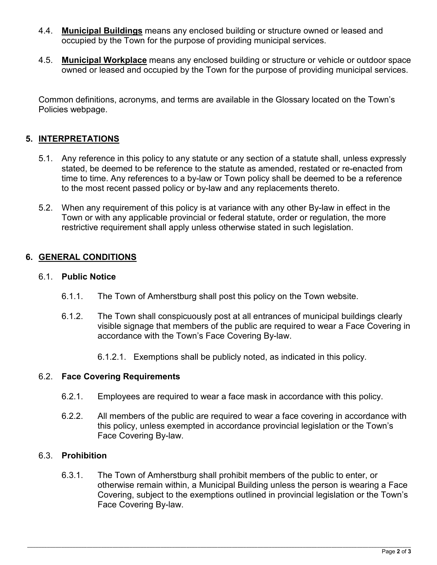- 4.4. **Municipal Buildings** means any enclosed building or structure owned or leased and occupied by the Town for the purpose of providing municipal services.
- 4.5. **Municipal Workplace** means any enclosed building or structure or vehicle or outdoor space owned or leased and occupied by the Town for the purpose of providing municipal services.

Common definitions, acronyms, and terms are available in the Glossary located on the Town's Policies webpage.

# **5. INTERPRETATIONS**

- 5.1. Any reference in this policy to any statute or any section of a statute shall, unless expressly stated, be deemed to be reference to the statute as amended, restated or re-enacted from time to time. Any references to a by-law or Town policy shall be deemed to be a reference to the most recent passed policy or by-law and any replacements thereto.
- 5.2. When any requirement of this policy is at variance with any other By-law in effect in the Town or with any applicable provincial or federal statute, order or regulation, the more restrictive requirement shall apply unless otherwise stated in such legislation.

## **6. GENERAL CONDITIONS**

#### 6.1. **Public Notice**

- 6.1.1. The Town of Amherstburg shall post this policy on the Town website.
- 6.1.2. The Town shall conspicuously post at all entrances of municipal buildings clearly visible signage that members of the public are required to wear a Face Covering in accordance with the Town's Face Covering By-law.
	- 6.1.2.1. Exemptions shall be publicly noted, as indicated in this policy.

#### 6.2. **Face Covering Requirements**

- 6.2.1. Employees are required to wear a face mask in accordance with this policy.
- 6.2.2. All members of the public are required to wear a face covering in accordance with this policy, unless exempted in accordance provincial legislation or the Town's Face Covering By-law.

#### 6.3. **Prohibition**

6.3.1. The Town of Amherstburg shall prohibit members of the public to enter, or otherwise remain within, a Municipal Building unless the person is wearing a Face Covering, subject to the exemptions outlined in provincial legislation or the Town's Face Covering By-law.